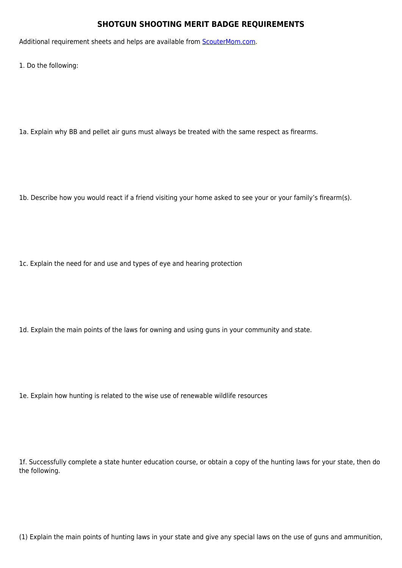## **SHOTGUN SHOOTING MERIT BADGE REQUIREMENTS**

Additional requirement sheets and helps are available from **[ScouterMom.com](http://scoutermom.com).** 

1. Do the following:

1a. Explain why BB and pellet air guns must always be treated with the same respect as firearms.

1b. Describe how you would react if a friend visiting your home asked to see your or your family's firearm(s).

1c. Explain the need for and use and types of eye and hearing protection

1d. Explain the main points of the laws for owning and using guns in your community and state.

1e. Explain how hunting is related to the wise use of renewable wildlife resources

1f. Successfully complete a state hunter education course, or obtain a copy of the hunting laws for your state, then do the following.

(1) Explain the main points of hunting laws in your state and give any special laws on the use of guns and ammunition,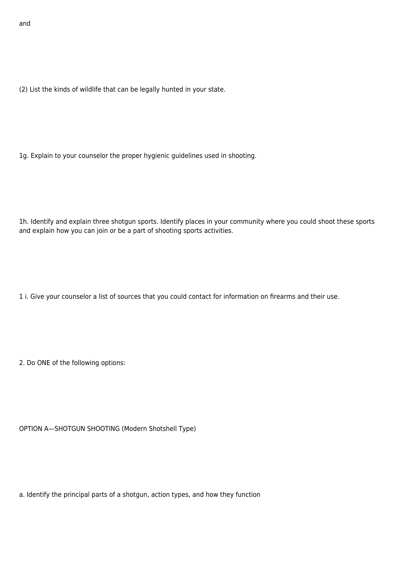(2) List the kinds of wildlife that can be legally hunted in your state.

1g. Explain to your counselor the proper hygienic guidelines used in shooting.

1h. Identify and explain three shotgun sports. Identify places in your community where you could shoot these sports and explain how you can join or be a part of shooting sports activities.

1 i. Give your counselor a list of sources that you could contact for information on firearms and their use.

2. Do ONE of the following options:

OPTION A—SHOTGUN SHOOTING (Modern Shotshell Type)

a. Identify the principal parts of a shotgun, action types, and how they function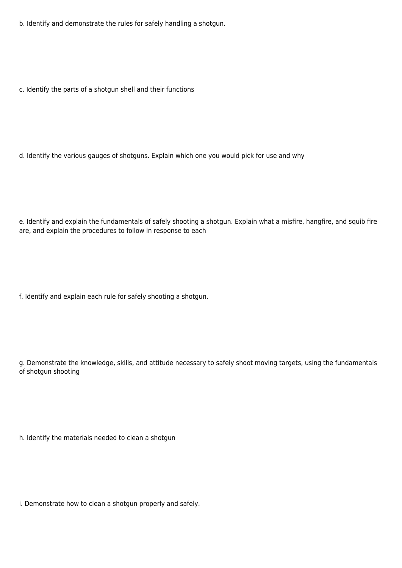b. Identify and demonstrate the rules for safely handling a shotgun.

c. Identify the parts of a shotgun shell and their functions

d. Identify the various gauges of shotguns. Explain which one you would pick for use and why

e. Identify and explain the fundamentals of safely shooting a shotgun. Explain what a misfire, hangfire, and squib fire are, and explain the procedures to follow in response to each

f. Identify and explain each rule for safely shooting a shotgun.

g. Demonstrate the knowledge, skills, and attitude necessary to safely shoot moving targets, using the fundamentals of shotgun shooting

h. Identify the materials needed to clean a shotgun

i. Demonstrate how to clean a shotgun properly and safely.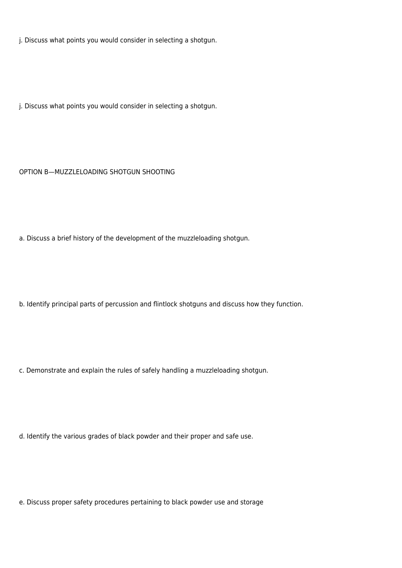j. Discuss what points you would consider in selecting a shotgun.

j. Discuss what points you would consider in selecting a shotgun.

## OPTION B—MUZZLELOADING SHOTGUN SHOOTING

a. Discuss a brief history of the development of the muzzleloading shotgun.

b. Identify principal parts of percussion and flintlock shotguns and discuss how they function.

c. Demonstrate and explain the rules of safely handling a muzzleloading shotgun.

d. Identify the various grades of black powder and their proper and safe use.

e. Discuss proper safety procedures pertaining to black powder use and storage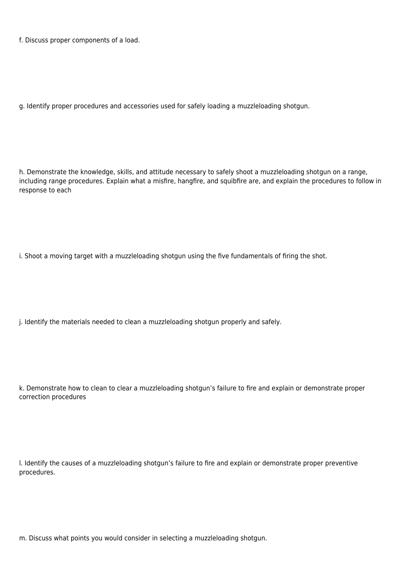f. Discuss proper components of a load.

g. Identify proper procedures and accessories used for safely loading a muzzleloading shotgun.

h. Demonstrate the knowledge, skills, and attitude necessary to safely shoot a muzzleloading shotgun on a range, including range procedures. Explain what a misfire, hangfire, and squibfire are, and explain the procedures to follow in response to each

i. Shoot a moving target with a muzzleloading shotgun using the five fundamentals of firing the shot.

j. Identify the materials needed to clean a muzzleloading shotgun properly and safely.

k. Demonstrate how to clean to clear a muzzleloading shotgun's failure to fire and explain or demonstrate proper correction procedures

l. Identify the causes of a muzzleloading shotgun's failure to fire and explain or demonstrate proper preventive procedures.

m. Discuss what points you would consider in selecting a muzzleloading shotgun.